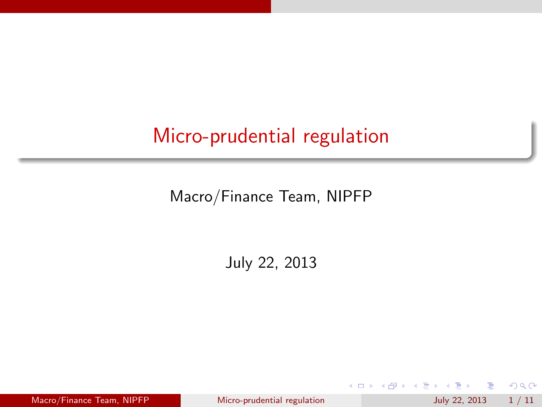## Micro-prudential regulation

Macro/Finance Team, NIPFP

July 22, 2013

Macro/Finance Team, NIPFP [Micro-prudential regulation](#page-10-0) July 22, 2013 1/11

イロト イ母 トイヨ トイヨト

重

<span id="page-0-0"></span> $2990$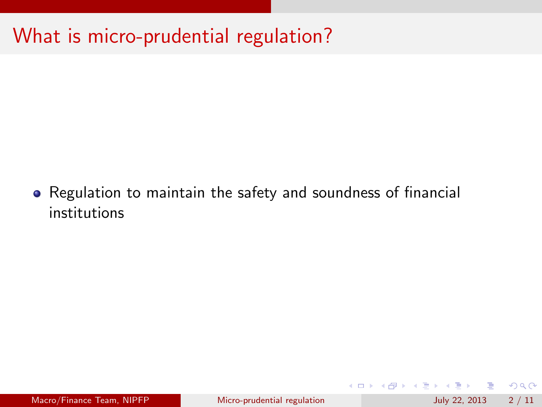# What is micro-prudential regulation?

Regulation to maintain the safety and soundness of financial institutions

 $\equiv$  990

イロト イ部 トメ ヨ トメ ヨト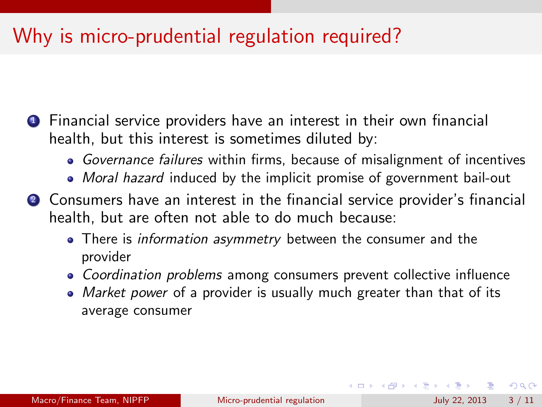## Why is micro-prudential regulation required?

- **1** Financial service providers have an interest in their own financial health, but this interest is sometimes diluted by:
	- Governance failures within firms, because of misalignment of incentives
	- Moral hazard induced by the implicit promise of government bail-out
- <sup>2</sup> Consumers have an interest in the financial service provider's financial health, but are often not able to do much because:
	- There is *information asymmetry* between the consumer and the provider
	- Coordination problems among consumers prevent collective influence
	- Market power of a provider is usually much greater than that of its average consumer

 $\Omega$ 

イロト イ部 トメ ヨ トメ ヨト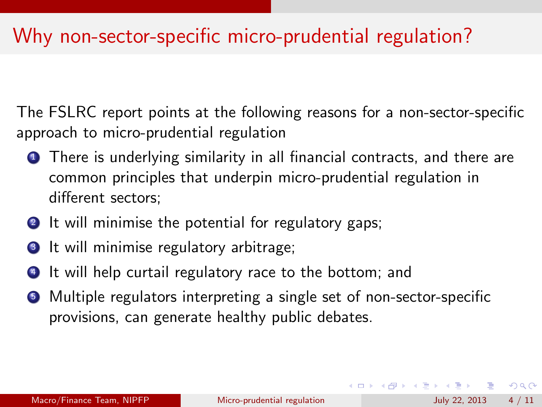### Why non-sector-specific micro-prudential regulation?

The FSLRC report points at the following reasons for a non-sector-specific approach to micro-prudential regulation

- **1** There is underlying similarity in all financial contracts, and there are common principles that underpin micro-prudential regulation in different sectors;
- **2** It will minimise the potential for regulatory gaps;
- **3** It will minimise regulatory arbitrage;
- <sup>4</sup> It will help curtail regulatory race to the bottom; and
- <sup>5</sup> Multiple regulators interpreting a single set of non-sector-specific provisions, can generate healthy public debates.

 $\Omega$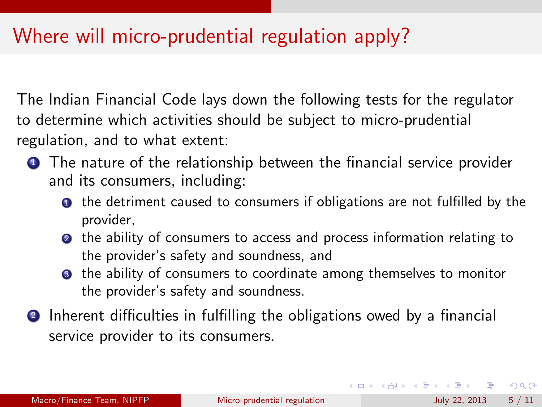## Where will micro-prudential regulation apply?

The Indian Financial Code lays down the following tests for the regulator to determine which activities should be subject to micro-prudential regulation, and to what extent:

- **1** The nature of the relationship between the financial service provider and its consumers, including:
	- **1** the detriment caused to consumers if obligations are not fulfilled by the provider,
	- **2** the ability of consumers to access and process information relating to the provider's safety and soundness, and
	- <sup>3</sup> the ability of consumers to coordinate among themselves to monitor the provider's safety and soundness.
- <sup>2</sup> Inherent difficulties in fulfilling the obligations owed by a financial service provider to its consumers.

**KOD KARD KED KED B YOUR**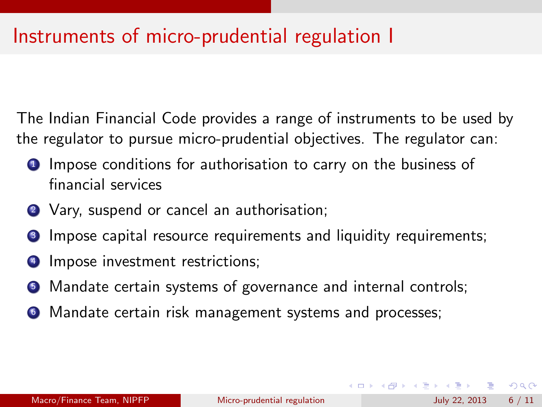### Instruments of micro-prudential regulation I

The Indian Financial Code provides a range of instruments to be used by the regulator to pursue micro-prudential objectives. The regulator can:

- **1** Impose conditions for authorisation to carry on the business of financial services
- 2 Vary, suspend or cancel an authorisation;
- **3** Impose capital resource requirements and liquidity requirements;
- <sup>4</sup> Impose investment restrictions;
- **•** Mandate certain systems of governance and internal controls;
- <sup>6</sup> Mandate certain risk management systems and processes;

 $=$   $\Omega$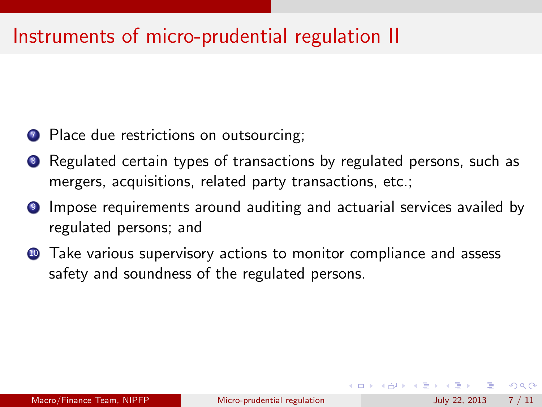### Instruments of micro-prudential regulation II

- **7** Place due restrictions on outsourcing;
- **8** Regulated certain types of transactions by regulated persons, such as mergers, acquisitions, related party transactions, etc.;
- <sup>9</sup> Impose requirements around auditing and actuarial services availed by regulated persons; and
- **10** Take various supervisory actions to monitor compliance and assess safety and soundness of the regulated persons.

 $\Omega$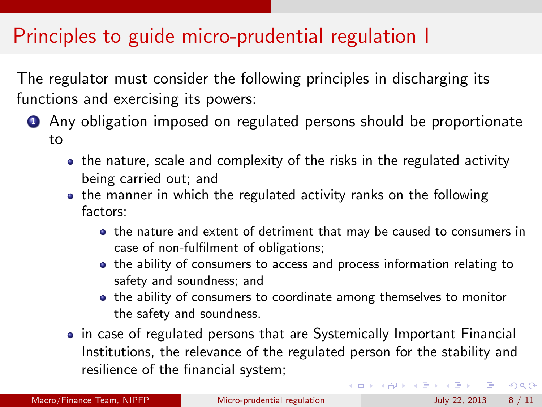## Principles to guide micro-prudential regulation I

The regulator must consider the following principles in discharging its functions and exercising its powers:

- **1** Any obligation imposed on regulated persons should be proportionate to
	- the nature, scale and complexity of the risks in the regulated activity being carried out; and
	- the manner in which the regulated activity ranks on the following factors:
		- the nature and extent of detriment that may be caused to consumers in case of non-fulfilment of obligations;
		- the ability of consumers to access and process information relating to safety and soundness; and
		- the ability of consumers to coordinate among themselves to monitor the safety and soundness.
	- in case of regulated persons that are Systemically Important Financial Institutions, the relevance of the regulated person for the stability and resilience of the financial system;

 $\eta$ are

 $\left\{ \begin{array}{ccc} 1 & 0 & 0 \\ 0 & 1 & 0 \end{array} \right.$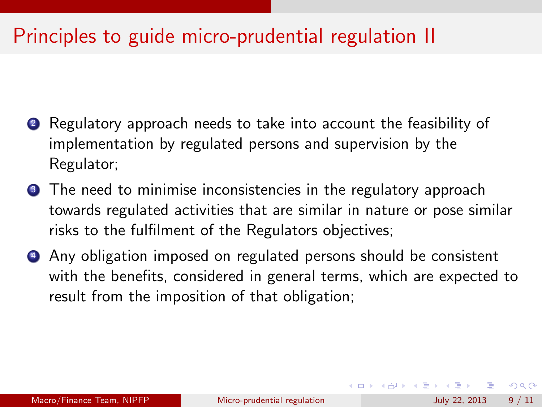## Principles to guide micro-prudential regulation II

- 2 Regulatory approach needs to take into account the feasibility of implementation by regulated persons and supervision by the Regulator;
- **3** The need to minimise inconsistencies in the regulatory approach towards regulated activities that are similar in nature or pose similar risks to the fulfilment of the Regulators objectives;
- <sup>4</sup> Any obligation imposed on regulated persons should be consistent with the benefits, considered in general terms, which are expected to result from the imposition of that obligation;

 $QQ$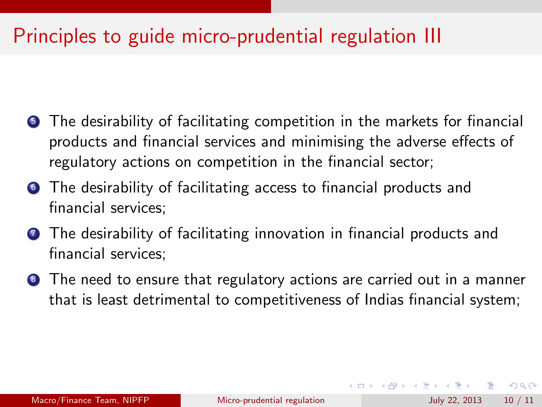## Principles to guide micro-prudential regulation III

- **•** The desirability of facilitating competition in the markets for financial products and financial services and minimising the adverse effects of regulatory actions on competition in the financial sector;
- **The desirability of facilitating access to financial products and** financial services;
- **The desirability of facilitating innovation in financial products and** financial services;
- **8** The need to ensure that regulatory actions are carried out in a manner that is least detrimental to competitiveness of Indias financial system;

 $\Omega$